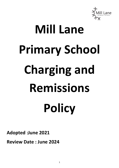

# **Mill Lane Primary School Charging and Remissions Policy**

**Adopted :June 2021**

**Review Date : June 2024**